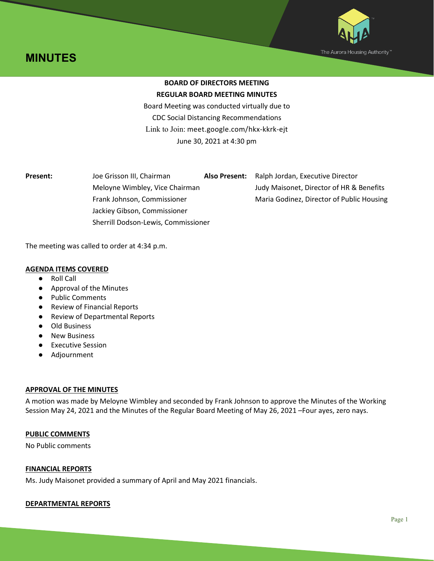



# **BOARD OF DIRECTORS MEETING REGULAR BOARD MEETING MINUTES**

Board Meeting was conducted virtually due to CDC Social Distancing Recommendations Link to Join: meet.google.com/hkx-kkrk-ejt June 30, 2021 at 4:30 pm

| <b>Present:</b> | Joe Grisson III, Chairman           | <b>Also Present:</b> | Ralph Jordan, Executive Director          |
|-----------------|-------------------------------------|----------------------|-------------------------------------------|
|                 | Meloyne Wimbley, Vice Chairman      |                      | Judy Maisonet, Director of HR & Benefits  |
|                 | Frank Johnson, Commissioner         |                      | Maria Godinez, Director of Public Housing |
|                 | Jackiey Gibson, Commissioner        |                      |                                           |
|                 | Sherrill Dodson-Lewis, Commissioner |                      |                                           |

The meeting was called to order at 4:34 p.m.

# **AGENDA ITEMS COVERED**

- Roll Call
- Approval of the Minutes
- Public Comments
- Review of Financial Reports
- Review of Departmental Reports
- Old Business
- New Business
- Executive Session
- Adjournment

## **APPROVAL OF THE MINUTES**

A motion was made by Meloyne Wimbley and seconded by Frank Johnson to approve the Minutes of the Working Session May 24, 2021 and the Minutes of the Regular Board Meeting of May 26, 2021 –Four ayes, zero nays.

# **PUBLIC COMMENTS**

No Public comments

## **FINANCIAL REPORTS**

Ms. Judy Maisonet provided a summary of April and May 2021 financials.

## **DEPARTMENTAL REPORTS**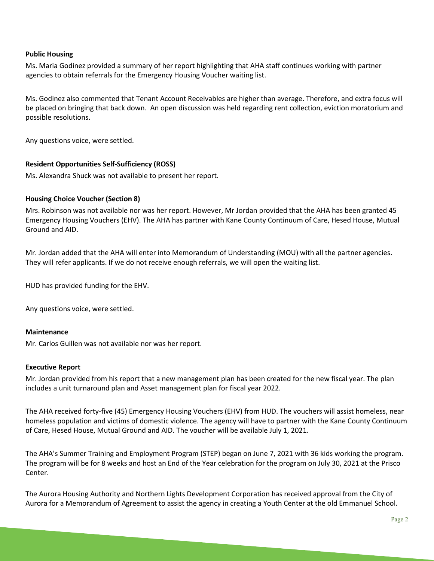## **Public Housing**

Ms. Maria Godinez provided a summary of her report highlighting that AHA staff continues working with partner agencies to obtain referrals for the Emergency Housing Voucher waiting list.

Ms. Godinez also commented that Tenant Account Receivables are higher than average. Therefore, and extra focus will be placed on bringing that back down. An open discussion was held regarding rent collection, eviction moratorium and possible resolutions.

Any questions voice, were settled.

# **Resident Opportunities Self-Sufficiency (ROSS)**

Ms. Alexandra Shuck was not available to present her report.

## **Housing Choice Voucher (Section 8)**

Mrs. Robinson was not available nor was her report. However, Mr Jordan provided that the AHA has been granted 45 Emergency Housing Vouchers (EHV). The AHA has partner with Kane County Continuum of Care, Hesed House, Mutual Ground and AID.

Mr. Jordan added that the AHA will enter into Memorandum of Understanding (MOU) with all the partner agencies. They will refer applicants. If we do not receive enough referrals, we will open the waiting list.

HUD has provided funding for the EHV.

Any questions voice, were settled.

## **Maintenance**

Mr. Carlos Guillen was not available nor was her report.

## **Executive Report**

Mr. Jordan provided from his report that a new management plan has been created for the new fiscal year. The plan includes a unit turnaround plan and Asset management plan for fiscal year 2022.

The AHA received forty-five (45) Emergency Housing Vouchers (EHV) from HUD. The vouchers will assist homeless, near homeless population and victims of domestic violence. The agency will have to partner with the Kane County Continuum of Care, Hesed House, Mutual Ground and AID. The voucher will be available July 1, 2021.

The AHA's Summer Training and Employment Program (STEP) began on June 7, 2021 with 36 kids working the program. The program will be for 8 weeks and host an End of the Year celebration for the program on July 30, 2021 at the Prisco Center.

The Aurora Housing Authority and Northern Lights Development Corporation has received approval from the City of Aurora for a Memorandum of Agreement to assist the agency in creating a Youth Center at the old Emmanuel School.